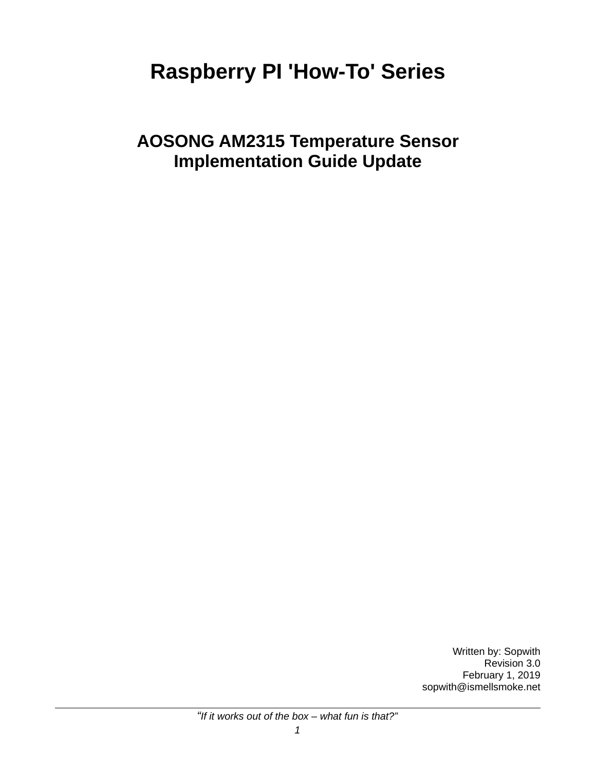# **Raspberry PI 'How-To' Series**

**AOSONG AM2315 Temperature Sensor Implementation Guide Update**

> Written by: Sopwith Revision 3.0 February 1, 2019 sopwith@ismellsmoke.net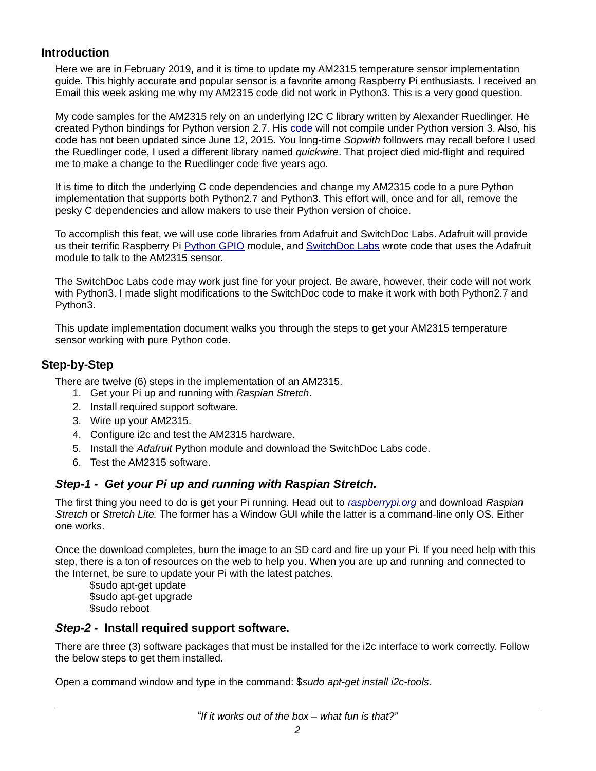# **Introduction**

Here we are in February 2019, and it is time to update my AM2315 temperature sensor implementation guide. This highly accurate and popular sensor is a favorite among Raspberry Pi enthusiasts. I received an Email this week asking me why my AM2315 code did not work in Python3. This is a very good question.

My code samples for the AM2315 rely on an underlying I2C C library written by Alexander Ruedlinger. He created Python bindings for Python version 2.7. His [code](https://github.com/lexruee/am2315) will not compile under Python version 3. Also, his code has not been updated since June 12, 2015. You long-time *Sopwith* followers may recall before I used the Ruedlinger code, I used a different library named *quickwire*. That project died mid-flight and required me to make a change to the Ruedlinger code five years ago.

It is time to ditch the underlying C code dependencies and change my AM2315 code to a pure Python implementation that supports both Python2.7 and Python3. This effort will, once and for all, remove the pesky C dependencies and allow makers to use their Python version of choice.

To accomplish this feat, we will use code libraries from Adafruit and SwitchDoc Labs. Adafruit will provide us their terrific Raspberry Pi [Python GPIO](https://github.com/adafruit/Adafruit_Python_GPIO) module, and [SwitchDoc Labs](https://github.com/switchdoclabs/SDL_Pi_AM2315) wrote code that uses the Adafruit module to talk to the AM2315 sensor.

The SwitchDoc Labs code may work just fine for your project. Be aware, however, their code will not work with Python3. I made slight modifications to the SwitchDoc code to make it work with both Python2.7 and Python3.

This update implementation document walks you through the steps to get your AM2315 temperature sensor working with pure Python code.

# **Step-by-Step**

There are twelve (6) steps in the implementation of an AM2315.

- 1. Get your Pi up and running with *Raspian Stretch*.
- 2. Install required support software.
- 3. Wire up your AM2315.
- 4. Configure i2c and test the AM2315 hardware.
- 5. Install the *Adafruit* Python module and download the SwitchDoc Labs code.
- 6. Test the AM2315 software.

# *Step-1 - Get your Pi up and running with Raspian Stretch.*

The first thing you need to do is get your Pi running. Head out to *[raspberrypi.org](http://raspberrypi.org/downloads)* and download *Raspian Stretch* or *Stretch Lite.* The former has a Window GUI while the latter is a command-line only OS. Either one works.

Once the download completes, burn the image to an SD card and fire up your Pi. If you need help with this step, there is a ton of resources on the web to help you. When you are up and running and connected to the Internet, be sure to update your Pi with the latest patches.

\$sudo apt-get update \$sudo apt-get upgrade \$sudo reboot

## *Step-2 -* **Install required support software.**

There are three (3) software packages that must be installed for the i2c interface to work correctly. Follow the below steps to get them installed.

Open a command window and type in the command: \$*sudo apt-get install i2c-tools.*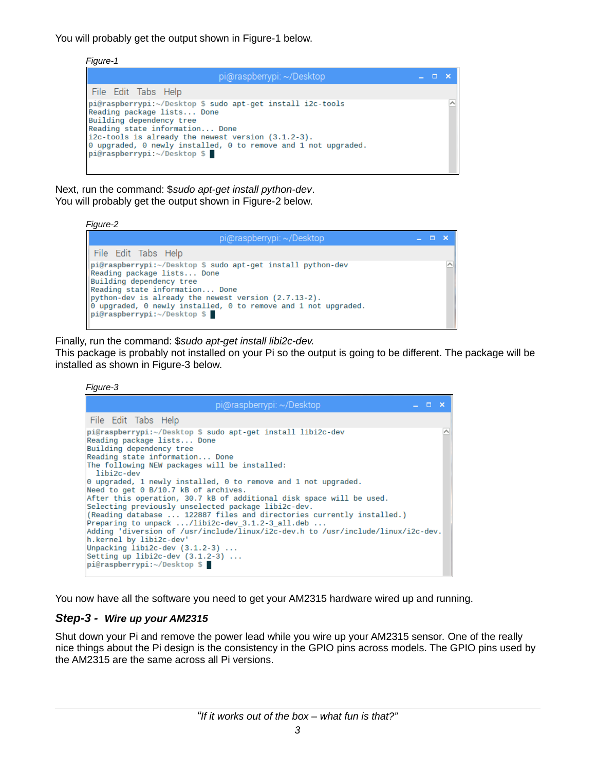You will probably get the output shown in Figure-1 below.

*Figure-1*

| pi@raspberrypi: ~/Desktop                                                                                                                                                                                                                                                                                                                  |  |  |
|--------------------------------------------------------------------------------------------------------------------------------------------------------------------------------------------------------------------------------------------------------------------------------------------------------------------------------------------|--|--|
| File Edit Tabs Help<br>pi@raspberrypi:~/Desktop \$ sudo apt-get install i2c-tools<br>Reading package lists Done<br>Building dependency tree<br>Reading state information Done<br>$i2c$ -tools is already the newest version $(3.1.2-3)$ .<br>0 upgraded, 0 newly installed, 0 to remove and 1 not upgraded.<br>pi@raspberrypi:~/Desktop \$ |  |  |

Next, run the command: \$*sudo apt-get install python-dev*. You will probably get the output shown in Figure-2 below.

*Figure-2*



Finally, run the command: \$*sudo apt-get install libi2c-dev.*

This package is probably not installed on your Pi so the output is going to be different. The package will be installed as shown in Figure-3 below.

*Figure-3*

| pi@raspberrypi: ~/Desktop<br>$  \times$                                                                                                                                                                                                                                                                                                                                                                                                                                                                                                                                                                                                                                                                                                                                                              |  |
|------------------------------------------------------------------------------------------------------------------------------------------------------------------------------------------------------------------------------------------------------------------------------------------------------------------------------------------------------------------------------------------------------------------------------------------------------------------------------------------------------------------------------------------------------------------------------------------------------------------------------------------------------------------------------------------------------------------------------------------------------------------------------------------------------|--|
| File Edit Tabs Help                                                                                                                                                                                                                                                                                                                                                                                                                                                                                                                                                                                                                                                                                                                                                                                  |  |
| pi@raspberrypi:~/Desktop \$ sudo apt-get install libi2c-dev<br>Reading package lists Done<br>Building dependency tree<br>Reading state information Done<br>The following NEW packages will be installed:<br>libi2c-dev<br>$\theta$ upgraded, 1 newly installed, $\theta$ to remove and 1 not upgraded.<br>Need to get 0 B/10.7 kB of archives.<br>After this operation, 30.7 kB of additional disk space will be used.<br>Selecting previously unselected package libi2c-dev.<br>(Reading database  122887 files and directories currently installed.)<br>Preparing to unpack /libi2c-dev 3.1.2-3 all.deb<br>Adding 'diversion of /usr/include/linux/i2c-dev.h to /usr/include/linux/i2c-dev.<br>h.kernel by libi2c-dev'<br>Unpacking $libi2c$ -dev $(3.1.2-3)$<br>Setting up libi2c-dev $(3.1.2-3)$ |  |
| pi@raspberrypi:~/Desktop \$                                                                                                                                                                                                                                                                                                                                                                                                                                                                                                                                                                                                                                                                                                                                                                          |  |

You now have all the software you need to get your AM2315 hardware wired up and running.

# *Step-3 - Wire up your AM2315*

Shut down your Pi and remove the power lead while you wire up your AM2315 sensor. One of the really nice things about the Pi design is the consistency in the GPIO pins across models. The GPIO pins used by the AM2315 are the same across all Pi versions.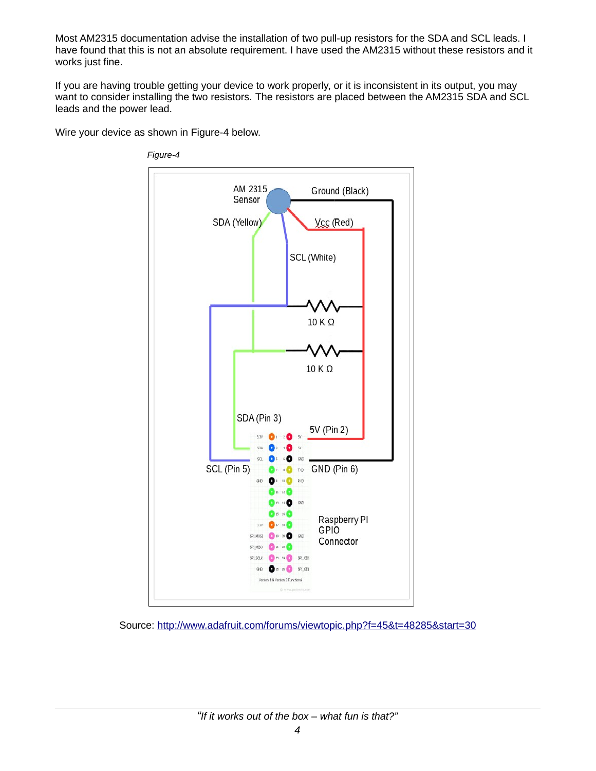Most AM2315 documentation advise the installation of two pull-up resistors for the SDA and SCL leads. I have found that this is not an absolute requirement. I have used the AM2315 without these resistors and it works just fine.

If you are having trouble getting your device to work properly, or it is inconsistent in its output, you may want to consider installing the two resistors. The resistors are placed between the AM2315 SDA and SCL leads and the power lead.

Wire your device as shown in Figure-4 below.



*Figure-4*

Source:<http://www.adafruit.com/forums/viewtopic.php?f=45&t=48285&start=30>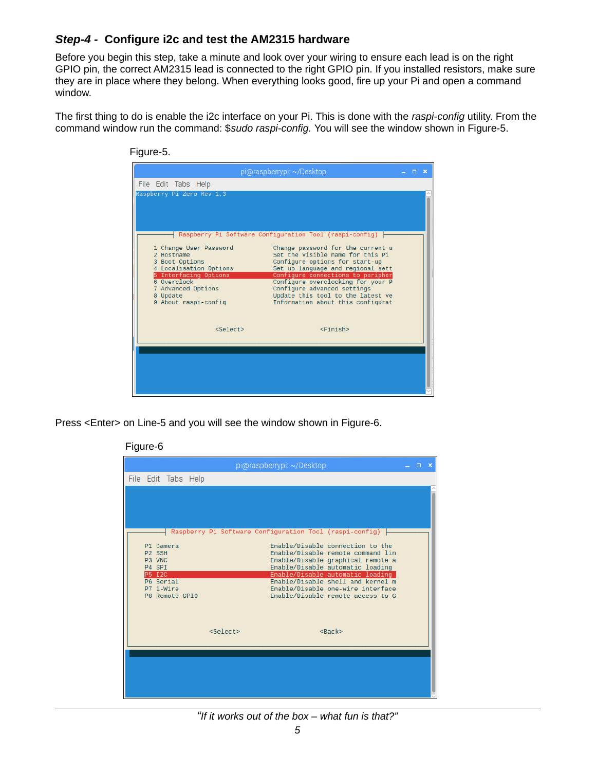# *Step-4 -* **Configure i2c and test the AM2315 hardware**

Before you begin this step, take a minute and look over your wiring to ensure each lead is on the right GPIO pin, the correct AM2315 lead is connected to the right GPIO pin. If you installed resistors, make sure they are in place where they belong. When everything looks good, fire up your Pi and open a command window.

The first thing to do is enable the i2c interface on your Pi. This is done with the *raspi-config* utility. From the command window run the command: \$*sudo raspi-config.* You will see the window shown in Figure-5.

| File Edit Tabs Help<br>Raspberry Pi Zero Rev 1.3 |                                                                    |  |  |
|--------------------------------------------------|--------------------------------------------------------------------|--|--|
|                                                  |                                                                    |  |  |
|                                                  |                                                                    |  |  |
|                                                  |                                                                    |  |  |
|                                                  |                                                                    |  |  |
|                                                  |                                                                    |  |  |
|                                                  | Raspberry Pi Software Configuration Tool (raspi-config)            |  |  |
| 1 Change User Password                           | Change password for the current u                                  |  |  |
| 2 Hostname<br>3 Boot Options                     | Set the visible name for this Pi<br>Configure options for start-up |  |  |
| 4 Localisation Options                           | Set up language and regional sett                                  |  |  |
| 5 Interfacing Options                            | Configure connections to peripher                                  |  |  |
| 6 Overclock<br>7 Advanced Options                | Configure overclocking for your P<br>Configure advanced settings   |  |  |
| 8 Update                                         | Update this tool to the latest ve                                  |  |  |
| 9 About raspi-config                             | Information about this configurat                                  |  |  |
|                                                  |                                                                    |  |  |
|                                                  |                                                                    |  |  |
| $<$ Select>                                      | $<$ Finish $>$                                                     |  |  |
|                                                  |                                                                    |  |  |
|                                                  |                                                                    |  |  |
|                                                  |                                                                    |  |  |
|                                                  |                                                                    |  |  |

Press <Enter> on Line-5 and you will see the window shown in Figure-6.



### Figure-6

*"If it works out of the box – what fun is that?"*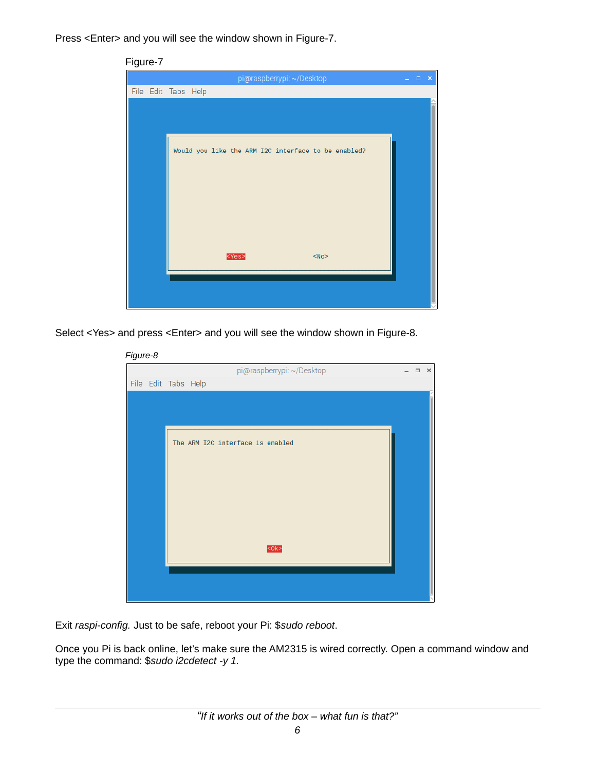Press <Enter> and you will see the window shown in Figure-7.

| Figure-7                                             |             |  |
|------------------------------------------------------|-------------|--|
| pi@raspberrypi: ~/Desktop                            | $   \times$ |  |
| File Edit Tabs Help                                  |             |  |
|                                                      |             |  |
|                                                      |             |  |
|                                                      |             |  |
| Would you like the ARM I2C interface to be enabled?  |             |  |
|                                                      |             |  |
|                                                      |             |  |
|                                                      |             |  |
|                                                      |             |  |
|                                                      |             |  |
|                                                      |             |  |
| <yes><br/><math>&lt;</math>No<math>&gt;</math></yes> |             |  |
|                                                      |             |  |
|                                                      |             |  |
|                                                      |             |  |
|                                                      |             |  |

Select <Yes> and press <Enter> and you will see the window shown in Figure-8.

| Figure-8 |                     |                                  |        |          |
|----------|---------------------|----------------------------------|--------|----------|
|          |                     | pi@raspberrypi: ~/Desktop        | $\Box$ | $\times$ |
|          | File Edit Tabs Help |                                  |        |          |
|          |                     |                                  |        |          |
|          |                     |                                  |        |          |
|          |                     |                                  |        |          |
|          |                     | The ARM I2C interface is enabled |        |          |
|          |                     |                                  |        |          |
|          |                     |                                  |        |          |
|          |                     |                                  |        |          |
|          |                     |                                  |        |          |
|          |                     |                                  |        |          |
|          |                     |                                  |        |          |
|          |                     |                                  |        |          |
|          |                     | $0k$                             |        |          |
|          |                     |                                  |        |          |
|          |                     |                                  |        |          |
|          |                     |                                  |        |          |
|          |                     |                                  |        |          |

Exit *raspi-config.* Just to be safe, reboot your Pi: \$*sudo reboot*.

Once you Pi is back online, let's make sure the AM2315 is wired correctly. Open a command window and type the command: \$*sudo i2cdetect -y 1.*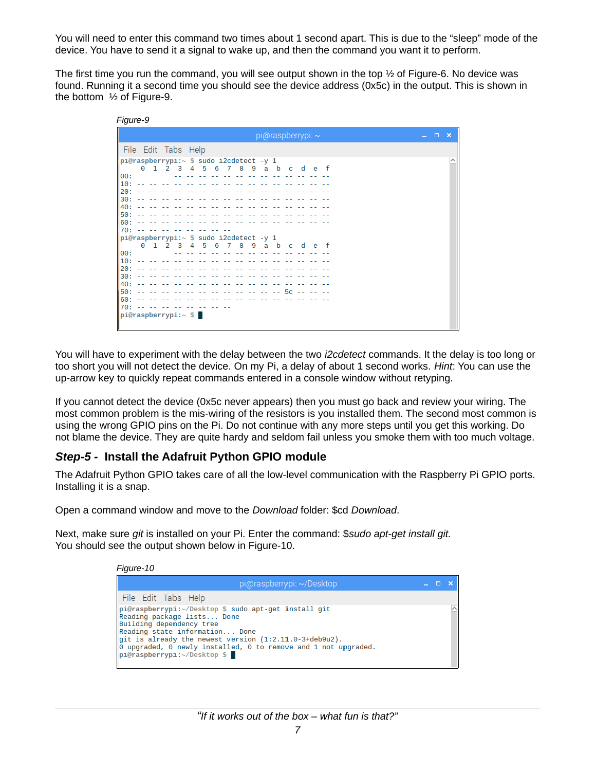You will need to enter this command two times about 1 second apart. This is due to the "sleep" mode of the device. You have to send it a signal to wake up, and then the command you want it to perform.

The first time you run the command, you will see output shown in the top  $\frac{1}{2}$  of Figure-6. No device was found. Running it a second time you should see the device address (0x5c) in the output. This is shown in the bottom ½ of Figure-9.

| <i><b>Figure-9</b></i>                                                                                                                                                                                                                                                                                                                                                                                                                                                   |       |     |
|--------------------------------------------------------------------------------------------------------------------------------------------------------------------------------------------------------------------------------------------------------------------------------------------------------------------------------------------------------------------------------------------------------------------------------------------------------------------------|-------|-----|
| pi@raspberrypi: ~                                                                                                                                                                                                                                                                                                                                                                                                                                                        | $  -$ | - x |
| File Edit Tabs Help                                                                                                                                                                                                                                                                                                                                                                                                                                                      |       |     |
| pi@raspberrypi:~ \$ sudo i2cdetect -y 1<br>1 2 3 4 5 6 7 8 9 a b c d e f<br>Θ<br>00:<br>the second control<br>$10: - - - - -$<br>$20: - - -$<br>$30: - - -$<br>40:<br>50:<br>$- -$<br>$60: - - - - - -$                                                                                                                                                                                                                                                                  |       |     |
| $70: - - -$<br>pi@raspberrypi:~ \$ sudo i2cdetect -y 1                                                                                                                                                                                                                                                                                                                                                                                                                   |       |     |
| 0 1 2 3 4 5 6<br>789 abc def<br>$\label{eq:2.1} \begin{array}{cccccccccc} \mathbb{L} & \mathbb{L} & \mathbb{L} & \mathbb{L} & \mathbb{L} & \mathbb{L} & \mathbb{L} & \mathbb{L} & \mathbb{L} & \mathbb{L} & \mathbb{L} & \mathbb{L} & \mathbb{L} & \mathbb{L} & \mathbb{L} & \mathbb{L} & \mathbb{L} & \mathbb{L} & \mathbb{L} & \mathbb{L} & \mathbb{L} & \mathbb{L} & \mathbb{L} & \mathbb{L} & \mathbb{L} & \mathbb{L} & \mathbb{L} & \mathbb{L} & \mathbb{L}$<br>00: |       |     |
| $10: - -$<br>$20: - - -$                                                                                                                                                                                                                                                                                                                                                                                                                                                 |       |     |
| 30:<br>$-1$ $-1$<br>$40: - - -$<br>the control of the co                                                                                                                                                                                                                                                                                                                                                                                                                 |       |     |
| <b>San San San</b><br>and the state of the SC and the sta<br>l50: --<br>60:<br>the second companies are not be the second                                                                                                                                                                                                                                                                                                                                                |       |     |
| 70: -- -- -- -- --<br>$ pi@raspberrypi:~$ \$                                                                                                                                                                                                                                                                                                                                                                                                                             |       |     |
|                                                                                                                                                                                                                                                                                                                                                                                                                                                                          |       |     |

You will have to experiment with the delay between the two *i2cdetect* commands. It the delay is too long or too short you will not detect the device. On my Pi, a delay of about 1 second works. *Hint*: You can use the up-arrow key to quickly repeat commands entered in a console window without retyping.

If you cannot detect the device (0x5c never appears) then you must go back and review your wiring. The most common problem is the mis-wiring of the resistors is you installed them. The second most common is using the wrong GPIO pins on the Pi. Do not continue with any more steps until you get this working. Do not blame the device. They are quite hardy and seldom fail unless you smoke them with too much voltage.

# *Step-5 -* **Install the Adafruit Python GPIO module**

*Figure-9*

The Adafruit Python GPIO takes care of all the low-level communication with the Raspberry Pi GPIO ports. Installing it is a snap.

Open a command window and move to the *Download* folder: \$cd *Download*.

Next, make sure *git* is installed on your Pi. Enter the command: \$*sudo apt-get install git.* You should see the output shown below in Figure-10.

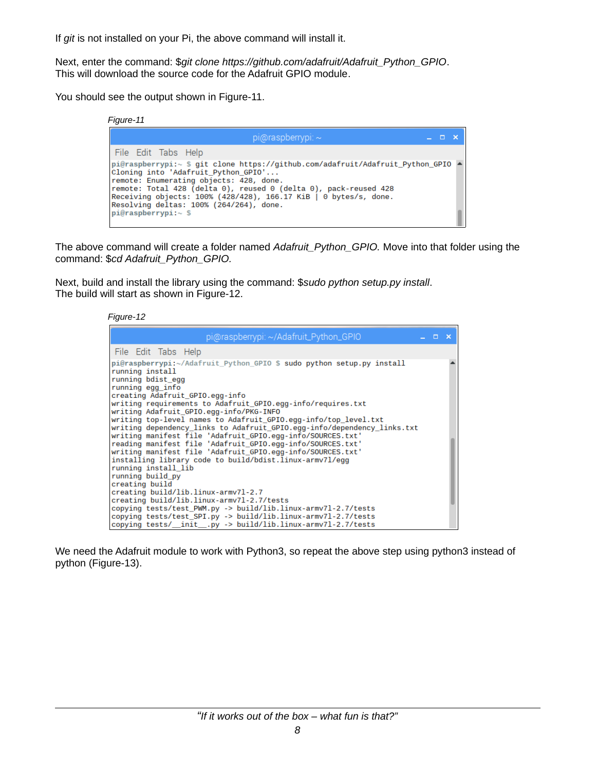If *git* is not installed on your Pi, the above command will install it.

Next, enter the command: \$*git clone https://github.com/adafruit/Adafruit\_Python\_GPIO*. This will download the source code for the Adafruit GPIO module.

You should see the output shown in Figure-11.

| Figure-11                                                                                                                                          |                                                                                                                                                                                                                             |            |  |
|----------------------------------------------------------------------------------------------------------------------------------------------------|-----------------------------------------------------------------------------------------------------------------------------------------------------------------------------------------------------------------------------|------------|--|
|                                                                                                                                                    | $pi$ @raspberrypi: $\sim$                                                                                                                                                                                                   | $  \times$ |  |
| File Edit Tabs Help                                                                                                                                |                                                                                                                                                                                                                             |            |  |
| Cloning into 'Adafruit Python GPIO'<br>remote: Enumerating objects: 428, done.<br>Resolving deltas: 100% (264/264), done.<br>$pi@raspberrypi:~$ \$ | pi@raspberrypi:~ \$ git clone https://github.com/adafruit/Adafruit_Python_GPIO 4<br>remote: Total 428 (delta 0), reused 0 (delta 0), pack-reused 428<br>Receiving objects: $100\%$ (428/428), 166.17 KiB   0 bytes/s, done. |            |  |

The above command will create a folder named *Adafruit\_Python\_GPIO.* Move into that folder using the command: \$*cd Adafruit\_Python\_GPIO.*

Next, build and install the library using the command: \$*sudo python setup.py install*. The build will start as shown in Figure-12.



| pi@raspberrypi: ~/Adafruit_Python_GPIO                                                                                                                                                                                                                                                                                                                                                                                                                                                                                                                                                                                                                                                                                                                                                                                             | $  \times$ |  |
|------------------------------------------------------------------------------------------------------------------------------------------------------------------------------------------------------------------------------------------------------------------------------------------------------------------------------------------------------------------------------------------------------------------------------------------------------------------------------------------------------------------------------------------------------------------------------------------------------------------------------------------------------------------------------------------------------------------------------------------------------------------------------------------------------------------------------------|------------|--|
| File Edit Tabs Help                                                                                                                                                                                                                                                                                                                                                                                                                                                                                                                                                                                                                                                                                                                                                                                                                |            |  |
| pi@raspberrypi:~/Adafruit_Python_GPIO \$ sudo python setup.py install<br>running install<br>running bdist egg<br>running egg info<br>creating Adafruit GPIO.egg-info<br>writing requirements to Adafruit GPIO.egg-info/requires.txt<br>writing Adafruit GPIO.egg-info/PKG-INFO<br>writing top-level names to Adafruit GPIO.egg-info/top level.txt<br>writing dependency links to Adafruit GPIO.egg-info/dependency links.txt<br>writing manifest file 'Adafruit GPIO.egg-info/SOURCES.txt'<br>reading manifest file 'Adafruit_GPIO.egg-info/SOURCES.txt'<br>writing manifest file 'Adafruit_GPIO.egg-info/SOURCES.txt'<br>installing library code to build/bdist.linux-armv7l/egg<br>running install lib<br>running build py<br>creating build<br>creating build/lib.linux-armv71-2.7<br>creating build/lib.linux-armv71-2.7/tests |            |  |
| copying tests/test_PWM.py -> build/lib.linux-armv7l-2.7/tests                                                                                                                                                                                                                                                                                                                                                                                                                                                                                                                                                                                                                                                                                                                                                                      |            |  |
| copying tests/test_SPI.py -> build/lib.linux-armv7l-2.7/tests<br>copying tests/_init__.py -> build/lib.linux-armv7l-2.7/tests                                                                                                                                                                                                                                                                                                                                                                                                                                                                                                                                                                                                                                                                                                      |            |  |

We need the Adafruit module to work with Python3, so repeat the above step using python3 instead of python (Figure-13).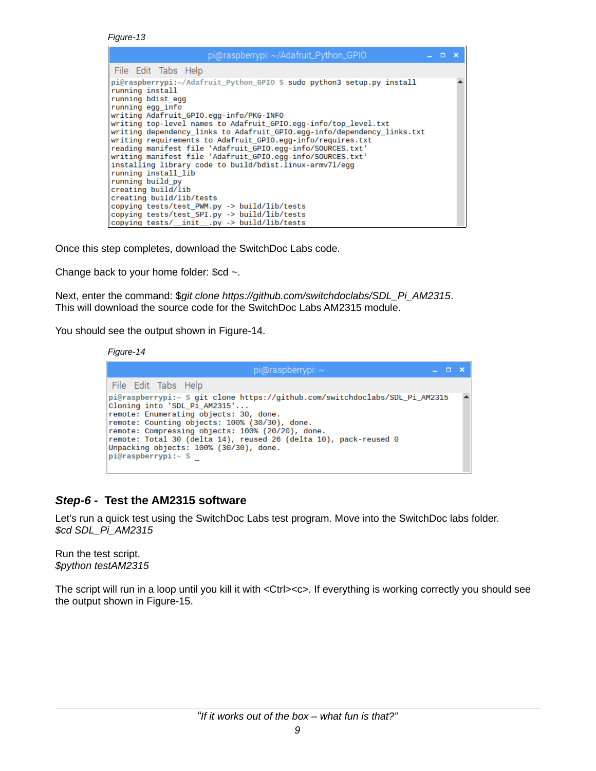*Figure-13*

| pi@raspberrypi: ~/Adafruit_Python_GPIO                                                                                                                                        | $\Box$ $\times$ |  |
|-------------------------------------------------------------------------------------------------------------------------------------------------------------------------------|-----------------|--|
| File Edit Tabs Help                                                                                                                                                           |                 |  |
| pi@raspberrypi:~/Adafruit Python GPIO \$ sudo python3 setup.py install<br>running install<br>running bdist egg<br>running egg info<br>writing Adafruit_GPIO.egg-info/PKG-INFO |                 |  |
| writing top-level names to Adafruit GPIO.egg-info/top_level.txt                                                                                                               |                 |  |
| writing dependency links to Adafruit GPIO.egg-info/dependency links.txt <br>writing requirements to Adafruit GPIO.egg-info/requires.txt                                       |                 |  |
| reading manifest file 'Adafruit GPIO.egg-info/SOURCES.txt'<br>writing manifest file 'Adafruit_GPIO.egg-info/SOURCES.txt'                                                      |                 |  |
| installing library code to build/bdist.linux-armv7l/egg<br>running install lib                                                                                                |                 |  |
| running build py<br>creating build/lib                                                                                                                                        |                 |  |
| creating build/lib/tests                                                                                                                                                      |                 |  |
| copying tests/test_SPI.py -> build/lib/tests                                                                                                                                  |                 |  |
| copying tests/test PWM.py -> build/lib/tests<br>copying tests/_init__.py -> build/lib/tests                                                                                   |                 |  |

Once this step completes, download the SwitchDoc Labs code.

Change back to your home folder: \$cd *~*.

Next, enter the command: \$*git clone https://github.com/switchdoclabs/SDL\_Pi\_AM2315*. This will download the source code for the SwitchDoc Labs AM2315 module.

You should see the output shown in Figure-14.

*Figure-14*



### *Step-6 -* **Test the AM2315 software**

Let's run a quick test using the SwitchDoc Labs test program. Move into the SwitchDoc labs folder. *\$cd SDL\_Pi\_AM2315*

Run the test script. *\$python testAM2315*

The script will run in a loop until you kill it with <Ctrl><c>. If everything is working correctly you should see the output shown in Figure-15.